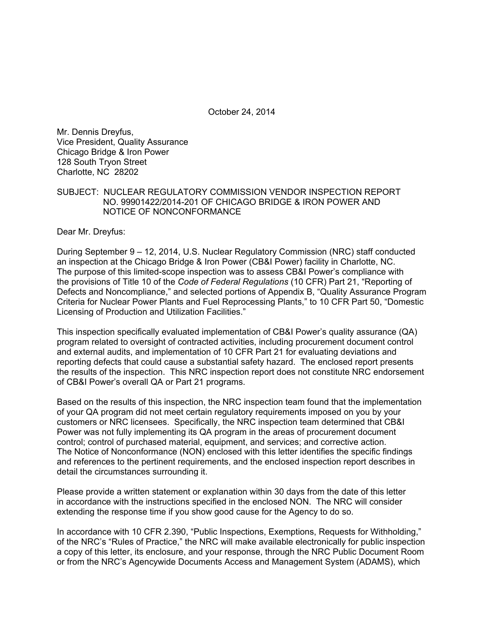October 24, 2014

Mr. Dennis Dreyfus, Vice President, Quality Assurance Chicago Bridge & Iron Power 128 South Tryon Street Charlotte, NC 28202

### SUBJECT: NUCLEAR REGULATORY COMMISSION VENDOR INSPECTION REPORT NO. 99901422/2014-201 OF CHICAGO BRIDGE & IRON POWER AND NOTICE OF NONCONFORMANCE

Dear Mr. Dreyfus:

During September 9 – 12, 2014, U.S. Nuclear Regulatory Commission (NRC) staff conducted an inspection at the Chicago Bridge & Iron Power (CB&I Power) facility in Charlotte, NC. The purpose of this limited-scope inspection was to assess CB&I Power's compliance with the provisions of Title 10 of the *Code of Federal Regulations* (10 CFR) Part 21, "Reporting of Defects and Noncompliance," and selected portions of Appendix B, "Quality Assurance Program Criteria for Nuclear Power Plants and Fuel Reprocessing Plants," to 10 CFR Part 50, "Domestic Licensing of Production and Utilization Facilities."

This inspection specifically evaluated implementation of CB&I Power's quality assurance (QA) program related to oversight of contracted activities, including procurement document control and external audits, and implementation of 10 CFR Part 21 for evaluating deviations and reporting defects that could cause a substantial safety hazard. The enclosed report presents the results of the inspection. This NRC inspection report does not constitute NRC endorsement of CB&I Power's overall QA or Part 21 programs.

Based on the results of this inspection, the NRC inspection team found that the implementation of your QA program did not meet certain regulatory requirements imposed on you by your customers or NRC licensees. Specifically, the NRC inspection team determined that CB&I Power was not fully implementing its QA program in the areas of procurement document control; control of purchased material, equipment, and services; and corrective action. The Notice of Nonconformance (NON) enclosed with this letter identifies the specific findings and references to the pertinent requirements, and the enclosed inspection report describes in detail the circumstances surrounding it.

Please provide a written statement or explanation within 30 days from the date of this letter in accordance with the instructions specified in the enclosed NON. The NRC will consider extending the response time if you show good cause for the Agency to do so.

In accordance with 10 CFR 2.390, "Public Inspections, Exemptions, Requests for Withholding," of the NRC's "Rules of Practice," the NRC will make available electronically for public inspection a copy of this letter, its enclosure, and your response, through the NRC Public Document Room or from the NRC's Agencywide Documents Access and Management System (ADAMS), which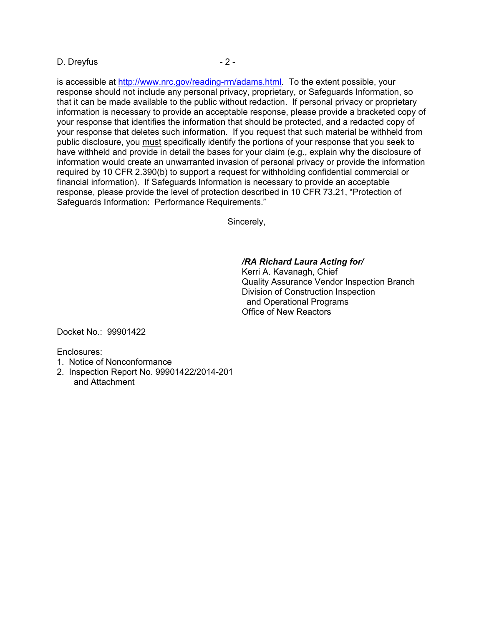#### D. Dreyfus - 2 -

is accessible at http://www.nrc.gov/reading-rm/adams.html. To the extent possible, your response should not include any personal privacy, proprietary, or Safeguards Information, so that it can be made available to the public without redaction. If personal privacy or proprietary information is necessary to provide an acceptable response, please provide a bracketed copy of your response that identifies the information that should be protected, and a redacted copy of your response that deletes such information. If you request that such material be withheld from public disclosure, you must specifically identify the portions of your response that you seek to have withheld and provide in detail the bases for your claim (e.g., explain why the disclosure of information would create an unwarranted invasion of personal privacy or provide the information required by 10 CFR 2.390(b) to support a request for withholding confidential commercial or financial information). If Safeguards Information is necessary to provide an acceptable response, please provide the level of protection described in 10 CFR 73.21, "Protection of Safeguards Information: Performance Requirements."

Sincerely,

## */RA Richard Laura Acting for/*

Kerri A. Kavanagh, Chief Quality Assurance Vendor Inspection Branch Division of Construction Inspection and Operational Programs Office of New Reactors

Docket No.: 99901422

Enclosures:

- 1. Notice of Nonconformance
- 2. Inspection Report No. 99901422/2014-201 and Attachment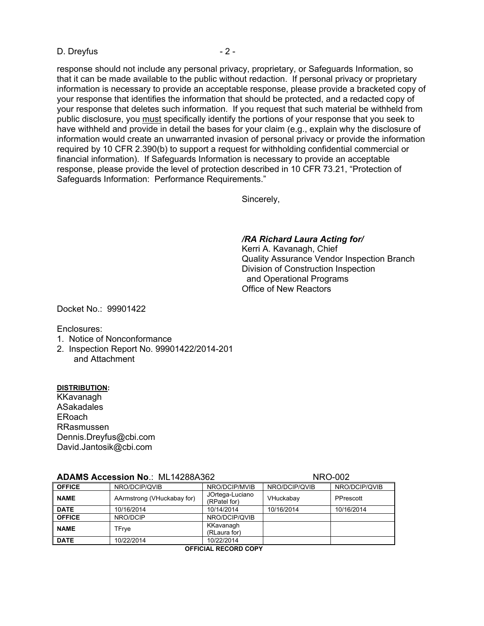#### D. Dreyfus - 2 -

response should not include any personal privacy, proprietary, or Safeguards Information, so that it can be made available to the public without redaction. If personal privacy or proprietary information is necessary to provide an acceptable response, please provide a bracketed copy of your response that identifies the information that should be protected, and a redacted copy of your response that deletes such information. If you request that such material be withheld from public disclosure, you must specifically identify the portions of your response that you seek to have withheld and provide in detail the bases for your claim (e.g., explain why the disclosure of information would create an unwarranted invasion of personal privacy or provide the information required by 10 CFR 2.390(b) to support a request for withholding confidential commercial or financial information). If Safeguards Information is necessary to provide an acceptable response, please provide the level of protection described in 10 CFR 73.21, "Protection of Safeguards Information: Performance Requirements."

Sincerely,

#### */RA Richard Laura Acting for/*

Kerri A. Kavanagh, Chief Quality Assurance Vendor Inspection Branch Division of Construction Inspection and Operational Programs Office of New Reactors

Docket No.: 99901422

Enclosures:

- 1. Notice of Nonconformance
- 2. Inspection Report No. 99901422/2014-201 and Attachment

#### **DISTRIBUTION:**

KKavanagh ASakadales ERoach RRasmussen Dennis.Dreyfus@cbi.com David.Jantosik@cbi.com

| <b>ADAMS Accession No.: ML14288A362</b> |                            |                                 | <b>NRO-002</b> |               |  |
|-----------------------------------------|----------------------------|---------------------------------|----------------|---------------|--|
| <b>OFFICE</b>                           | NRO/DCIP/QVIB              | NRO/DCIP/MVIB                   | NRO/DCIP/QVIB  | NRO/DCIP/QVIB |  |
| <b>NAME</b>                             | AArmstrong (VHuckabay for) | JOrtega-Luciano<br>(RPatel for) | VHuckabay      | PPrescott     |  |
| <b>DATE</b>                             | 10/16/2014                 | 10/14/2014                      | 10/16/2014     | 10/16/2014    |  |
| <b>OFFICE</b>                           | NRO/DCIP                   | NRO/DCIP/QVIB                   |                |               |  |
| <b>NAME</b>                             | TFrye                      | KKavanagh<br>(RLaura for)       |                |               |  |
| I DATE                                  | 10/22/2014                 | 10/22/2014                      |                |               |  |

 **OFFICIAL RECORD COPY**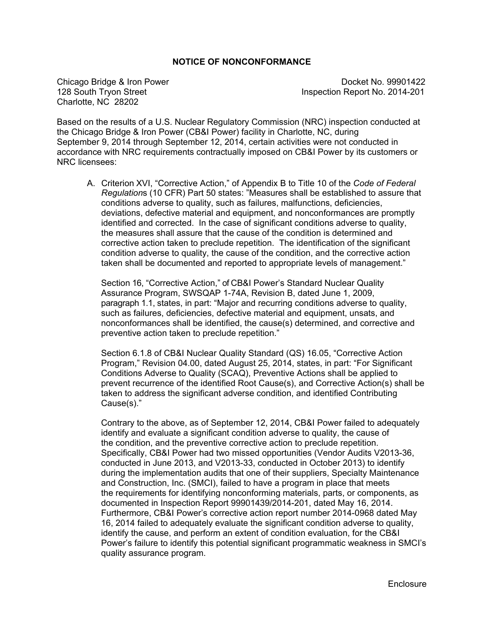## **NOTICE OF NONCONFORMANCE**

Charlotte, NC 28202

Chicago Bridge & Iron Power **Docket No. 99901422** 128 South Tryon Street **Inspection Report No. 2014-201** 

Based on the results of a U.S. Nuclear Regulatory Commission (NRC) inspection conducted at the Chicago Bridge & Iron Power (CB&I Power) facility in Charlotte, NC, during September 9, 2014 through September 12, 2014, certain activities were not conducted in accordance with NRC requirements contractually imposed on CB&I Power by its customers or NRC licensees:

A. Criterion XVI, "Corrective Action," of Appendix B to Title 10 of the *Code of Federal Regulation*s (10 CFR) Part 50 states: "Measures shall be established to assure that conditions adverse to quality, such as failures, malfunctions, deficiencies, deviations, defective material and equipment, and nonconformances are promptly identified and corrected. In the case of significant conditions adverse to quality, the measures shall assure that the cause of the condition is determined and corrective action taken to preclude repetition. The identification of the significant condition adverse to quality, the cause of the condition, and the corrective action taken shall be documented and reported to appropriate levels of management."

Section 16, "Corrective Action," of CB&I Power's Standard Nuclear Quality Assurance Program, SWSQAP 1-74A, Revision B, dated June 1, 2009, paragraph 1.1, states, in part: "Major and recurring conditions adverse to quality, such as failures, deficiencies, defective material and equipment, unsats, and nonconformances shall be identified, the cause(s) determined, and corrective and preventive action taken to preclude repetition."

Section 6.1.8 of CB&I Nuclear Quality Standard (QS) 16.05, "Corrective Action Program," Revision 04.00, dated August 25, 2014, states, in part: "For Significant Conditions Adverse to Quality (SCAQ), Preventive Actions shall be applied to prevent recurrence of the identified Root Cause(s), and Corrective Action(s) shall be taken to address the significant adverse condition, and identified Contributing Cause(s)."

Contrary to the above, as of September 12, 2014, CB&I Power failed to adequately identify and evaluate a significant condition adverse to quality, the cause of the condition, and the preventive corrective action to preclude repetition. Specifically, CB&I Power had two missed opportunities (Vendor Audits V2013-36, conducted in June 2013, and V2013-33, conducted in October 2013) to identify during the implementation audits that one of their suppliers, Specialty Maintenance and Construction, Inc. (SMCI), failed to have a program in place that meets the requirements for identifying nonconforming materials, parts, or components, as documented in Inspection Report 99901439/2014-201, dated May 16, 2014. Furthermore, CB&I Power's corrective action report number 2014-0968 dated May 16, 2014 failed to adequately evaluate the significant condition adverse to quality, identify the cause, and perform an extent of condition evaluation, for the CB&I Power's failure to identify this potential significant programmatic weakness in SMCI's quality assurance program.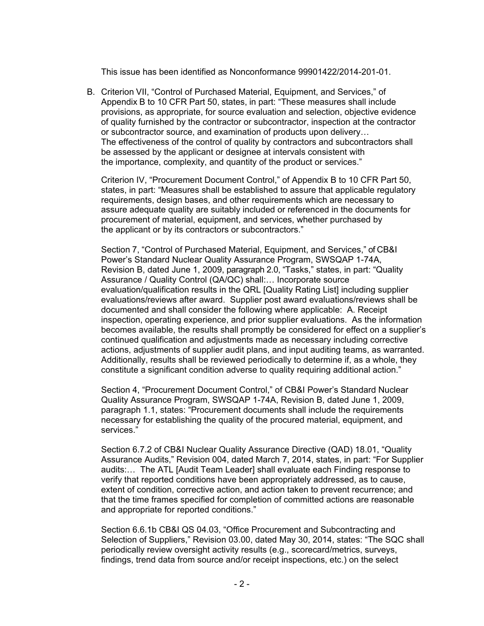This issue has been identified as Nonconformance 99901422/2014-201-01.

B. Criterion VII, "Control of Purchased Material, Equipment, and Services," of Appendix B to 10 CFR Part 50, states, in part: "These measures shall include provisions, as appropriate, for source evaluation and selection, objective evidence of quality furnished by the contractor or subcontractor, inspection at the contractor or subcontractor source, and examination of products upon delivery… The effectiveness of the control of quality by contractors and subcontractors shall be assessed by the applicant or designee at intervals consistent with the importance, complexity, and quantity of the product or services."

Criterion IV, "Procurement Document Control," of Appendix B to 10 CFR Part 50, states, in part: "Measures shall be established to assure that applicable regulatory requirements, design bases, and other requirements which are necessary to assure adequate quality are suitably included or referenced in the documents for procurement of material, equipment, and services, whether purchased by the applicant or by its contractors or subcontractors."

Section 7, "Control of Purchased Material, Equipment, and Services," of CB&I Power's Standard Nuclear Quality Assurance Program, SWSQAP 1-74A, Revision B, dated June 1, 2009, paragraph 2.0, "Tasks," states, in part: "Quality Assurance / Quality Control (QA/QC) shall:… Incorporate source evaluation/qualification results in the QRL [Quality Rating List] including supplier evaluations/reviews after award. Supplier post award evaluations/reviews shall be documented and shall consider the following where applicable: A. Receipt inspection, operating experience, and prior supplier evaluations. As the information becomes available, the results shall promptly be considered for effect on a supplier's continued qualification and adjustments made as necessary including corrective actions, adjustments of supplier audit plans, and input auditing teams, as warranted. Additionally, results shall be reviewed periodically to determine if, as a whole, they constitute a significant condition adverse to quality requiring additional action."

Section 4, "Procurement Document Control," of CB&I Power's Standard Nuclear Quality Assurance Program, SWSQAP 1-74A, Revision B, dated June 1, 2009, paragraph 1.1, states: "Procurement documents shall include the requirements necessary for establishing the quality of the procured material, equipment, and services."

Section 6.7.2 of CB&I Nuclear Quality Assurance Directive (QAD) 18.01, "Quality Assurance Audits," Revision 004, dated March 7, 2014, states, in part: "For Supplier audits:… The ATL [Audit Team Leader] shall evaluate each Finding response to verify that reported conditions have been appropriately addressed, as to cause, extent of condition, corrective action, and action taken to prevent recurrence; and that the time frames specified for completion of committed actions are reasonable and appropriate for reported conditions."

Section 6.6.1b CB&I QS 04.03, "Office Procurement and Subcontracting and Selection of Suppliers," Revision 03.00, dated May 30, 2014, states: "The SQC shall periodically review oversight activity results (e.g., scorecard/metrics, surveys, findings, trend data from source and/or receipt inspections, etc.) on the select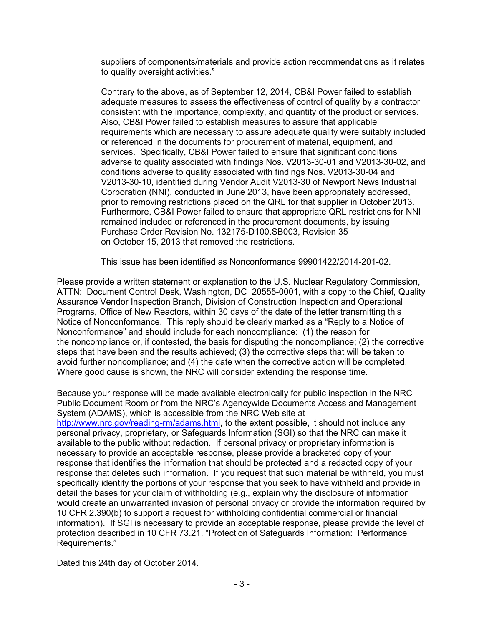suppliers of components/materials and provide action recommendations as it relates to quality oversight activities."

Contrary to the above, as of September 12, 2014, CB&I Power failed to establish adequate measures to assess the effectiveness of control of quality by a contractor consistent with the importance, complexity, and quantity of the product or services. Also, CB&I Power failed to establish measures to assure that applicable requirements which are necessary to assure adequate quality were suitably included or referenced in the documents for procurement of material, equipment, and services. Specifically, CB&I Power failed to ensure that significant conditions adverse to quality associated with findings Nos. V2013-30-01 and V2013-30-02, and conditions adverse to quality associated with findings Nos. V2013-30-04 and V2013-30-10, identified during Vendor Audit V2013-30 of Newport News Industrial Corporation (NNI), conducted in June 2013, have been appropriately addressed, prior to removing restrictions placed on the QRL for that supplier in October 2013. Furthermore, CB&I Power failed to ensure that appropriate QRL restrictions for NNI remained included or referenced in the procurement documents, by issuing Purchase Order Revision No. 132175-D100.SB003, Revision 35 on October 15, 2013 that removed the restrictions.

This issue has been identified as Nonconformance 99901422/2014-201-02.

Please provide a written statement or explanation to the U.S. Nuclear Regulatory Commission, ATTN: Document Control Desk, Washington, DC 20555-0001, with a copy to the Chief, Quality Assurance Vendor Inspection Branch, Division of Construction Inspection and Operational Programs, Office of New Reactors, within 30 days of the date of the letter transmitting this Notice of Nonconformance. This reply should be clearly marked as a "Reply to a Notice of Nonconformance" and should include for each noncompliance: (1) the reason for the noncompliance or, if contested, the basis for disputing the noncompliance; (2) the corrective steps that have been and the results achieved; (3) the corrective steps that will be taken to avoid further noncompliance; and (4) the date when the corrective action will be completed. Where good cause is shown, the NRC will consider extending the response time.

Because your response will be made available electronically for public inspection in the NRC Public Document Room or from the NRC's Agencywide Documents Access and Management System (ADAMS), which is accessible from the NRC Web site at http://www.nrc.gov/reading-rm/adams.html, to the extent possible, it should not include any personal privacy, proprietary, or Safeguards Information (SGI) so that the NRC can make it available to the public without redaction. If personal privacy or proprietary information is necessary to provide an acceptable response, please provide a bracketed copy of your response that identifies the information that should be protected and a redacted copy of your response that deletes such information. If you request that such material be withheld, you must specifically identify the portions of your response that you seek to have withheld and provide in detail the bases for your claim of withholding (e.g., explain why the disclosure of information would create an unwarranted invasion of personal privacy or provide the information required by 10 CFR 2.390(b) to support a request for withholding confidential commercial or financial information). If SGI is necessary to provide an acceptable response, please provide the level of protection described in 10 CFR 73.21, "Protection of Safeguards Information: Performance Requirements."

Dated this 24th day of October 2014.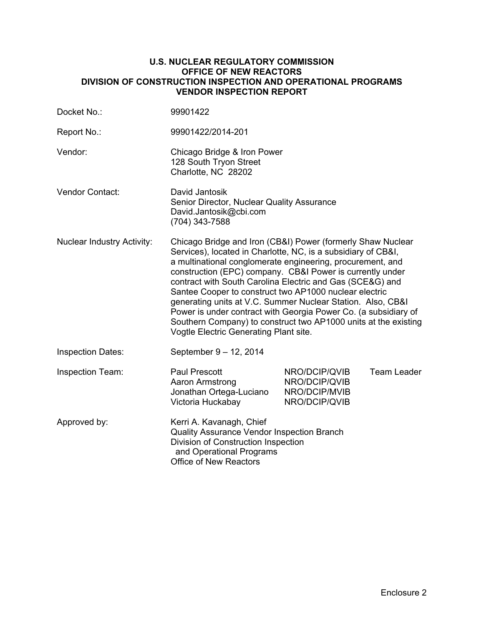### **U.S. NUCLEAR REGULATORY COMMISSION OFFICE OF NEW REACTORS DIVISION OF CONSTRUCTION INSPECTION AND OPERATIONAL PROGRAMS VENDOR INSPECTION REPORT**

| Docket No.:                       | 99901422                                                                                                                                                                                                                                                                                                                                                                                                                                                                                                                                                                                                                      |                                                                  |                    |
|-----------------------------------|-------------------------------------------------------------------------------------------------------------------------------------------------------------------------------------------------------------------------------------------------------------------------------------------------------------------------------------------------------------------------------------------------------------------------------------------------------------------------------------------------------------------------------------------------------------------------------------------------------------------------------|------------------------------------------------------------------|--------------------|
| Report No.:                       | 99901422/2014-201                                                                                                                                                                                                                                                                                                                                                                                                                                                                                                                                                                                                             |                                                                  |                    |
| Vendor:                           | Chicago Bridge & Iron Power<br>128 South Tryon Street<br>Charlotte, NC 28202                                                                                                                                                                                                                                                                                                                                                                                                                                                                                                                                                  |                                                                  |                    |
| Vendor Contact:                   | David Jantosik<br>Senior Director, Nuclear Quality Assurance<br>David.Jantosik@cbi.com<br>(704) 343-7588                                                                                                                                                                                                                                                                                                                                                                                                                                                                                                                      |                                                                  |                    |
| <b>Nuclear Industry Activity:</b> | Chicago Bridge and Iron (CB&I) Power (formerly Shaw Nuclear<br>Services), located in Charlotte, NC, is a subsidiary of CB&I,<br>a multinational conglomerate engineering, procurement, and<br>construction (EPC) company. CB&I Power is currently under<br>contract with South Carolina Electric and Gas (SCE&G) and<br>Santee Cooper to construct two AP1000 nuclear electric<br>generating units at V.C. Summer Nuclear Station. Also, CB&I<br>Power is under contract with Georgia Power Co. (a subsidiary of<br>Southern Company) to construct two AP1000 units at the existing<br>Vogtle Electric Generating Plant site. |                                                                  |                    |
| <b>Inspection Dates:</b>          | September 9 - 12, 2014                                                                                                                                                                                                                                                                                                                                                                                                                                                                                                                                                                                                        |                                                                  |                    |
| Inspection Team:                  | <b>Paul Prescott</b><br>Aaron Armstrong<br>Jonathan Ortega-Luciano<br>Victoria Huckabay                                                                                                                                                                                                                                                                                                                                                                                                                                                                                                                                       | NRO/DCIP/QVIB<br>NRO/DCIP/QVIB<br>NRO/DCIP/MVIB<br>NRO/DCIP/QVIB | <b>Team Leader</b> |
| Approved by:                      | Kerri A. Kavanagh, Chief<br>Quality Assurance Vendor Inspection Branch<br>Division of Construction Inspection<br>and Operational Programs<br><b>Office of New Reactors</b>                                                                                                                                                                                                                                                                                                                                                                                                                                                    |                                                                  |                    |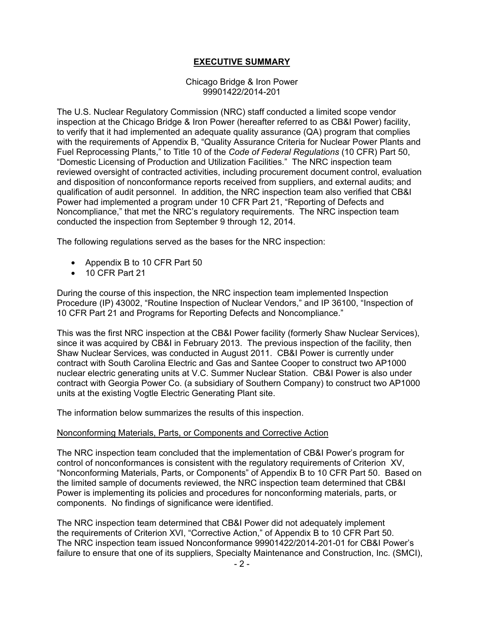# **EXECUTIVE SUMMARY**

#### Chicago Bridge & Iron Power 99901422/2014-201

The U.S. Nuclear Regulatory Commission (NRC) staff conducted a limited scope vendor inspection at the Chicago Bridge & Iron Power (hereafter referred to as CB&I Power) facility, to verify that it had implemented an adequate quality assurance (QA) program that complies with the requirements of Appendix B, "Quality Assurance Criteria for Nuclear Power Plants and Fuel Reprocessing Plants," to Title 10 of the *Code of Federal Regulations* (10 CFR) Part 50, "Domestic Licensing of Production and Utilization Facilities." The NRC inspection team reviewed oversight of contracted activities, including procurement document control, evaluation and disposition of nonconformance reports received from suppliers, and external audits; and qualification of audit personnel. In addition, the NRC inspection team also verified that CB&I Power had implemented a program under 10 CFR Part 21, "Reporting of Defects and Noncompliance," that met the NRC's regulatory requirements. The NRC inspection team conducted the inspection from September 9 through 12, 2014.

The following regulations served as the bases for the NRC inspection:

- Appendix B to 10 CFR Part 50
- 10 CFR Part 21

During the course of this inspection, the NRC inspection team implemented Inspection Procedure (IP) 43002, "Routine Inspection of Nuclear Vendors," and IP 36100, "Inspection of 10 CFR Part 21 and Programs for Reporting Defects and Noncompliance."

This was the first NRC inspection at the CB&I Power facility (formerly Shaw Nuclear Services), since it was acquired by CB&I in February 2013. The previous inspection of the facility, then Shaw Nuclear Services, was conducted in August 2011. CB&I Power is currently under contract with South Carolina Electric and Gas and Santee Cooper to construct two AP1000 nuclear electric generating units at V.C. Summer Nuclear Station. CB&I Power is also under contract with Georgia Power Co. (a subsidiary of Southern Company) to construct two AP1000 units at the existing Vogtle Electric Generating Plant site.

The information below summarizes the results of this inspection.

## Nonconforming Materials, Parts, or Components and Corrective Action

The NRC inspection team concluded that the implementation of CB&I Power's program for control of nonconformances is consistent with the regulatory requirements of Criterion XV, "Nonconforming Materials, Parts, or Components" of Appendix B to 10 CFR Part 50. Based on the limited sample of documents reviewed, the NRC inspection team determined that CB&I Power is implementing its policies and procedures for nonconforming materials, parts, or components. No findings of significance were identified.

The NRC inspection team determined that CB&I Power did not adequately implement the requirements of Criterion XVI, "Corrective Action," of Appendix B to 10 CFR Part 50. The NRC inspection team issued Nonconformance 99901422/2014-201-01 for CB&I Power's failure to ensure that one of its suppliers, Specialty Maintenance and Construction, Inc. (SMCI),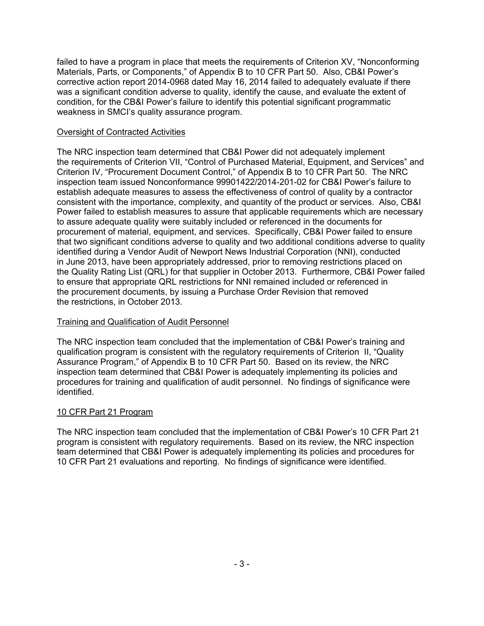failed to have a program in place that meets the requirements of Criterion XV, "Nonconforming Materials, Parts, or Components," of Appendix B to 10 CFR Part 50. Also, CB&I Power's corrective action report 2014-0968 dated May 16, 2014 failed to adequately evaluate if there was a significant condition adverse to quality, identify the cause, and evaluate the extent of condition, for the CB&I Power's failure to identify this potential significant programmatic weakness in SMCI's quality assurance program.

# Oversight of Contracted Activities

The NRC inspection team determined that CB&I Power did not adequately implement the requirements of Criterion VII, "Control of Purchased Material, Equipment, and Services" and Criterion IV, "Procurement Document Control," of Appendix B to 10 CFR Part 50. The NRC inspection team issued Nonconformance 99901422/2014-201-02 for CB&I Power's failure to establish adequate measures to assess the effectiveness of control of quality by a contractor consistent with the importance, complexity, and quantity of the product or services. Also, CB&I Power failed to establish measures to assure that applicable requirements which are necessary to assure adequate quality were suitably included or referenced in the documents for procurement of material, equipment, and services. Specifically, CB&I Power failed to ensure that two significant conditions adverse to quality and two additional conditions adverse to quality identified during a Vendor Audit of Newport News Industrial Corporation (NNI), conducted in June 2013, have been appropriately addressed, prior to removing restrictions placed on the Quality Rating List (QRL) for that supplier in October 2013. Furthermore, CB&I Power failed to ensure that appropriate QRL restrictions for NNI remained included or referenced in the procurement documents, by issuing a Purchase Order Revision that removed the restrictions, in October 2013.

# Training and Qualification of Audit Personnel

The NRC inspection team concluded that the implementation of CB&I Power's training and qualification program is consistent with the regulatory requirements of Criterion II, "Quality Assurance Program," of Appendix B to 10 CFR Part 50. Based on its review, the NRC inspection team determined that CB&I Power is adequately implementing its policies and procedures for training and qualification of audit personnel. No findings of significance were identified.

# 10 CFR Part 21 Program

The NRC inspection team concluded that the implementation of CB&I Power's 10 CFR Part 21 program is consistent with regulatory requirements. Based on its review, the NRC inspection team determined that CB&I Power is adequately implementing its policies and procedures for 10 CFR Part 21 evaluations and reporting. No findings of significance were identified.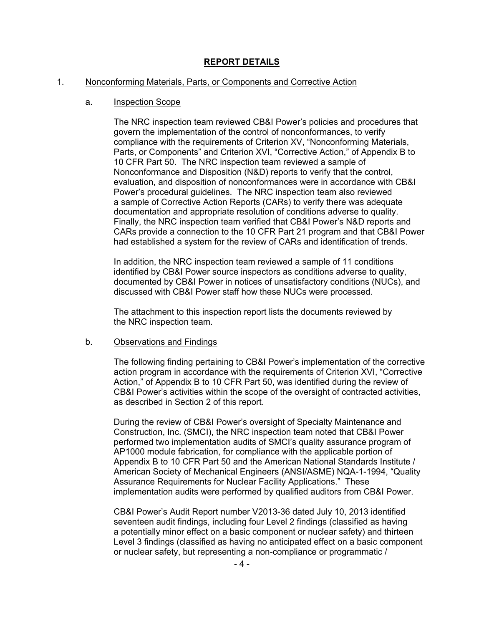# **REPORT DETAILS**

#### 1. Nonconforming Materials, Parts, or Components and Corrective Action

#### a. Inspection Scope

The NRC inspection team reviewed CB&I Power's policies and procedures that govern the implementation of the control of nonconformances, to verify compliance with the requirements of Criterion XV, "Nonconforming Materials, Parts, or Components" and Criterion XVI, "Corrective Action," of Appendix B to 10 CFR Part 50. The NRC inspection team reviewed a sample of Nonconformance and Disposition (N&D) reports to verify that the control, evaluation, and disposition of nonconformances were in accordance with CB&I Power's procedural guidelines. The NRC inspection team also reviewed a sample of Corrective Action Reports (CARs) to verify there was adequate documentation and appropriate resolution of conditions adverse to quality. Finally, the NRC inspection team verified that CB&I Power's N&D reports and CARs provide a connection to the 10 CFR Part 21 program and that CB&I Power had established a system for the review of CARs and identification of trends.

In addition, the NRC inspection team reviewed a sample of 11 conditions identified by CB&I Power source inspectors as conditions adverse to quality, documented by CB&I Power in notices of unsatisfactory conditions (NUCs), and discussed with CB&I Power staff how these NUCs were processed.

The attachment to this inspection report lists the documents reviewed by the NRC inspection team.

#### b. Observations and Findings

The following finding pertaining to CB&I Power's implementation of the corrective action program in accordance with the requirements of Criterion XVI, "Corrective Action," of Appendix B to 10 CFR Part 50, was identified during the review of CB&I Power's activities within the scope of the oversight of contracted activities, as described in Section 2 of this report.

During the review of CB&I Power's oversight of Specialty Maintenance and Construction, Inc. (SMCI), the NRC inspection team noted that CB&I Power performed two implementation audits of SMCI's quality assurance program of AP1000 module fabrication, for compliance with the applicable portion of Appendix B to 10 CFR Part 50 and the American National Standards Institute / American Society of Mechanical Engineers (ANSI/ASME) NQA-1-1994, "Quality Assurance Requirements for Nuclear Facility Applications." These implementation audits were performed by qualified auditors from CB&I Power.

CB&I Power's Audit Report number V2013-36 dated July 10, 2013 identified seventeen audit findings, including four Level 2 findings (classified as having a potentially minor effect on a basic component or nuclear safety) and thirteen Level 3 findings (classified as having no anticipated effect on a basic component or nuclear safety, but representing a non-compliance or programmatic /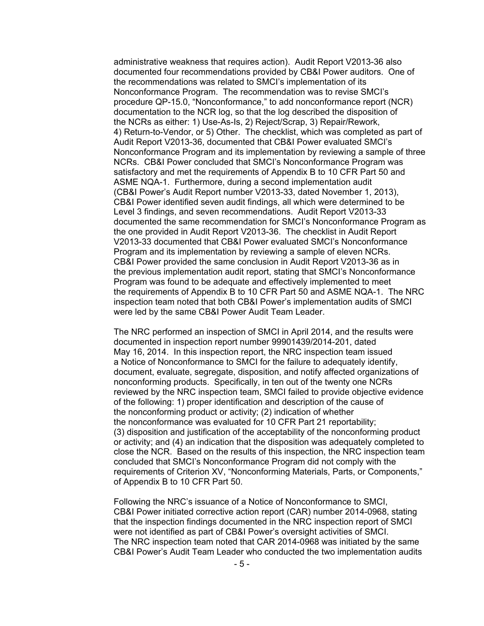administrative weakness that requires action). Audit Report V2013-36 also documented four recommendations provided by CB&I Power auditors. One of the recommendations was related to SMCI's implementation of its Nonconformance Program. The recommendation was to revise SMCI's procedure QP-15.0, "Nonconformance," to add nonconformance report (NCR) documentation to the NCR log, so that the log described the disposition of the NCRs as either: 1) Use-As-Is, 2) Reject/Scrap, 3) Repair/Rework, 4) Return-to-Vendor, or 5) Other. The checklist, which was completed as part of Audit Report V2013-36, documented that CB&I Power evaluated SMCI's Nonconformance Program and its implementation by reviewing a sample of three NCRs. CB&I Power concluded that SMCI's Nonconformance Program was satisfactory and met the requirements of Appendix B to 10 CFR Part 50 and ASME NQA-1. Furthermore, during a second implementation audit (CB&I Power's Audit Report number V2013-33, dated November 1, 2013), CB&I Power identified seven audit findings, all which were determined to be Level 3 findings, and seven recommendations. Audit Report V2013-33 documented the same recommendation for SMCI's Nonconformance Program as the one provided in Audit Report V2013-36. The checklist in Audit Report V2013-33 documented that CB&I Power evaluated SMCI's Nonconformance Program and its implementation by reviewing a sample of eleven NCRs. CB&I Power provided the same conclusion in Audit Report V2013-36 as in the previous implementation audit report, stating that SMCI's Nonconformance Program was found to be adequate and effectively implemented to meet the requirements of Appendix B to 10 CFR Part 50 and ASME NQA-1. The NRC inspection team noted that both CB&I Power's implementation audits of SMCI were led by the same CB&I Power Audit Team Leader.

The NRC performed an inspection of SMCI in April 2014, and the results were documented in inspection report number 99901439/2014-201, dated May 16, 2014. In this inspection report, the NRC inspection team issued a Notice of Nonconformance to SMCI for the failure to adequately identify, document, evaluate, segregate, disposition, and notify affected organizations of nonconforming products. Specifically, in ten out of the twenty one NCRs reviewed by the NRC inspection team, SMCI failed to provide objective evidence of the following: 1) proper identification and description of the cause of the nonconforming product or activity; (2) indication of whether the nonconformance was evaluated for 10 CFR Part 21 reportability; (3) disposition and justification of the acceptability of the nonconforming product or activity; and (4) an indication that the disposition was adequately completed to close the NCR. Based on the results of this inspection, the NRC inspection team concluded that SMCI's Nonconformance Program did not comply with the requirements of Criterion XV, "Nonconforming Materials, Parts, or Components," of Appendix B to 10 CFR Part 50.

Following the NRC's issuance of a Notice of Nonconformance to SMCI, CB&I Power initiated corrective action report (CAR) number 2014-0968, stating that the inspection findings documented in the NRC inspection report of SMCI were not identified as part of CB&I Power's oversight activities of SMCI. The NRC inspection team noted that CAR 2014-0968 was initiated by the same CB&I Power's Audit Team Leader who conducted the two implementation audits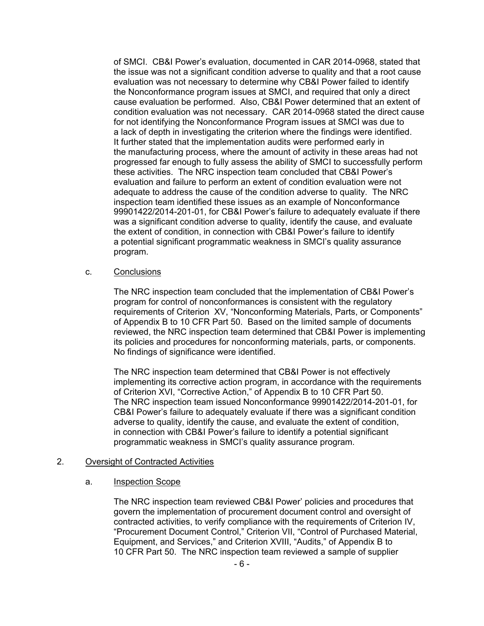of SMCI. CB&I Power's evaluation, documented in CAR 2014-0968, stated that the issue was not a significant condition adverse to quality and that a root cause evaluation was not necessary to determine why CB&I Power failed to identify the Nonconformance program issues at SMCI, and required that only a direct cause evaluation be performed. Also, CB&I Power determined that an extent of condition evaluation was not necessary. CAR 2014-0968 stated the direct cause for not identifying the Nonconformance Program issues at SMCI was due to a lack of depth in investigating the criterion where the findings were identified. It further stated that the implementation audits were performed early in the manufacturing process, where the amount of activity in these areas had not progressed far enough to fully assess the ability of SMCI to successfully perform these activities. The NRC inspection team concluded that CB&I Power's evaluation and failure to perform an extent of condition evaluation were not adequate to address the cause of the condition adverse to quality. The NRC inspection team identified these issues as an example of Nonconformance 99901422/2014-201-01, for CB&I Power's failure to adequately evaluate if there was a significant condition adverse to quality, identify the cause, and evaluate the extent of condition, in connection with CB&I Power's failure to identify a potential significant programmatic weakness in SMCI's quality assurance program.

#### c. Conclusions

The NRC inspection team concluded that the implementation of CB&I Power's program for control of nonconformances is consistent with the regulatory requirements of Criterion XV, "Nonconforming Materials, Parts, or Components" of Appendix B to 10 CFR Part 50. Based on the limited sample of documents reviewed, the NRC inspection team determined that CB&I Power is implementing its policies and procedures for nonconforming materials, parts, or components. No findings of significance were identified.

The NRC inspection team determined that CB&I Power is not effectively implementing its corrective action program, in accordance with the requirements of Criterion XVI, "Corrective Action," of Appendix B to 10 CFR Part 50. The NRC inspection team issued Nonconformance 99901422/2014-201-01, for CB&I Power's failure to adequately evaluate if there was a significant condition adverse to quality, identify the cause, and evaluate the extent of condition, in connection with CB&I Power's failure to identify a potential significant programmatic weakness in SMCI's quality assurance program.

## 2. Oversight of Contracted Activities

## a. Inspection Scope

The NRC inspection team reviewed CB&I Power' policies and procedures that govern the implementation of procurement document control and oversight of contracted activities, to verify compliance with the requirements of Criterion IV, "Procurement Document Control," Criterion VII, "Control of Purchased Material, Equipment, and Services," and Criterion XVIII, "Audits," of Appendix B to 10 CFR Part 50. The NRC inspection team reviewed a sample of supplier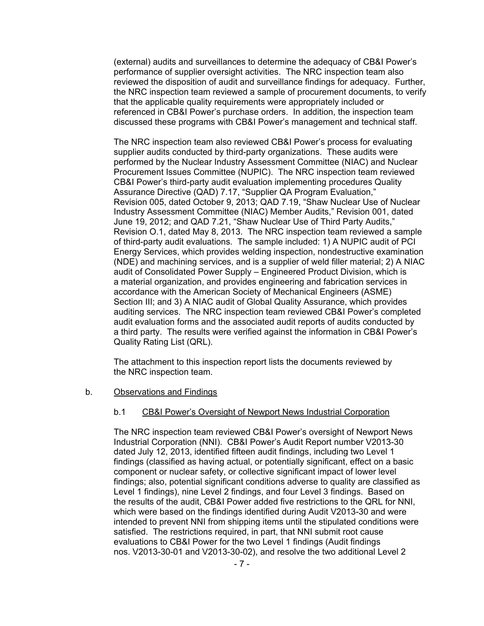(external) audits and surveillances to determine the adequacy of CB&I Power's performance of supplier oversight activities. The NRC inspection team also reviewed the disposition of audit and surveillance findings for adequacy. Further, the NRC inspection team reviewed a sample of procurement documents, to verify that the applicable quality requirements were appropriately included or referenced in CB&I Power's purchase orders. In addition, the inspection team discussed these programs with CB&I Power's management and technical staff.

The NRC inspection team also reviewed CB&I Power's process for evaluating supplier audits conducted by third-party organizations. These audits were performed by the Nuclear Industry Assessment Committee (NIAC) and Nuclear Procurement Issues Committee (NUPIC). The NRC inspection team reviewed CB&I Power's third-party audit evaluation implementing procedures Quality Assurance Directive (QAD) 7.17, "Supplier QA Program Evaluation," Revision 005, dated October 9, 2013; QAD 7.19, "Shaw Nuclear Use of Nuclear Industry Assessment Committee (NIAC) Member Audits," Revision 001, dated June 19, 2012; and QAD 7.21, "Shaw Nuclear Use of Third Party Audits," Revision O.1, dated May 8, 2013. The NRC inspection team reviewed a sample of third-party audit evaluations. The sample included: 1) A NUPIC audit of PCI Energy Services, which provides welding inspection, nondestructive examination (NDE) and machining services, and is a supplier of weld filler material; 2) A NIAC audit of Consolidated Power Supply – Engineered Product Division, which is a material organization, and provides engineering and fabrication services in accordance with the American Society of Mechanical Engineers (ASME) Section III; and 3) A NIAC audit of Global Quality Assurance, which provides auditing services. The NRC inspection team reviewed CB&I Power's completed audit evaluation forms and the associated audit reports of audits conducted by a third party. The results were verified against the information in CB&I Power's Quality Rating List (QRL).

The attachment to this inspection report lists the documents reviewed by the NRC inspection team.

#### b. Observations and Findings

#### b.1 CB&I Power's Oversight of Newport News Industrial Corporation

The NRC inspection team reviewed CB&I Power's oversight of Newport News Industrial Corporation (NNI). CB&I Power's Audit Report number V2013-30 dated July 12, 2013, identified fifteen audit findings, including two Level 1 findings (classified as having actual, or potentially significant, effect on a basic component or nuclear safety, or collective significant impact of lower level findings; also, potential significant conditions adverse to quality are classified as Level 1 findings), nine Level 2 findings, and four Level 3 findings. Based on the results of the audit, CB&I Power added five restrictions to the QRL for NNI, which were based on the findings identified during Audit V2013-30 and were intended to prevent NNI from shipping items until the stipulated conditions were satisfied. The restrictions required, in part, that NNI submit root cause evaluations to CB&I Power for the two Level 1 findings (Audit findings nos. V2013-30-01 and V2013-30-02), and resolve the two additional Level 2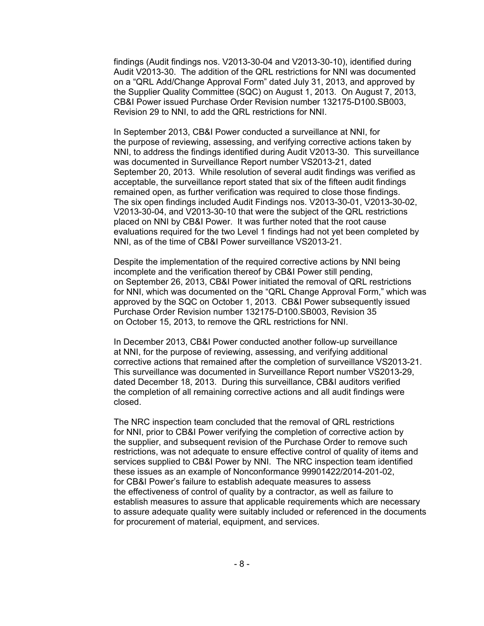findings (Audit findings nos. V2013-30-04 and V2013-30-10), identified during Audit V2013-30. The addition of the QRL restrictions for NNI was documented on a "QRL Add/Change Approval Form" dated July 31, 2013, and approved by the Supplier Quality Committee (SQC) on August 1, 2013. On August 7, 2013, CB&I Power issued Purchase Order Revision number 132175-D100.SB003, Revision 29 to NNI, to add the QRL restrictions for NNI.

In September 2013, CB&I Power conducted a surveillance at NNI, for the purpose of reviewing, assessing, and verifying corrective actions taken by NNI, to address the findings identified during Audit V2013-30. This surveillance was documented in Surveillance Report number VS2013-21, dated September 20, 2013. While resolution of several audit findings was verified as acceptable, the surveillance report stated that six of the fifteen audit findings remained open, as further verification was required to close those findings. The six open findings included Audit Findings nos. V2013-30-01, V2013-30-02, V2013-30-04, and V2013-30-10 that were the subject of the QRL restrictions placed on NNI by CB&I Power. It was further noted that the root cause evaluations required for the two Level 1 findings had not yet been completed by NNI, as of the time of CB&I Power surveillance VS2013-21.

Despite the implementation of the required corrective actions by NNI being incomplete and the verification thereof by CB&I Power still pending, on September 26, 2013, CB&I Power initiated the removal of QRL restrictions for NNI, which was documented on the "QRL Change Approval Form," which was approved by the SQC on October 1, 2013. CB&I Power subsequently issued Purchase Order Revision number 132175-D100.SB003, Revision 35 on October 15, 2013, to remove the QRL restrictions for NNI.

In December 2013, CB&I Power conducted another follow-up surveillance at NNI, for the purpose of reviewing, assessing, and verifying additional corrective actions that remained after the completion of surveillance VS2013-21. This surveillance was documented in Surveillance Report number VS2013-29, dated December 18, 2013. During this surveillance, CB&I auditors verified the completion of all remaining corrective actions and all audit findings were closed.

The NRC inspection team concluded that the removal of QRL restrictions for NNI, prior to CB&I Power verifying the completion of corrective action by the supplier, and subsequent revision of the Purchase Order to remove such restrictions, was not adequate to ensure effective control of quality of items and services supplied to CB&I Power by NNI. The NRC inspection team identified these issues as an example of Nonconformance 99901422/2014-201-02, for CB&I Power's failure to establish adequate measures to assess the effectiveness of control of quality by a contractor, as well as failure to establish measures to assure that applicable requirements which are necessary to assure adequate quality were suitably included or referenced in the documents for procurement of material, equipment, and services.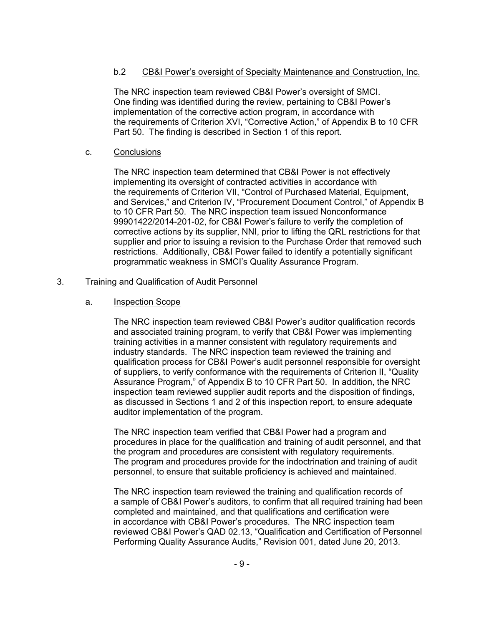# b.2 CB&I Power's oversight of Specialty Maintenance and Construction, Inc.

The NRC inspection team reviewed CB&I Power's oversight of SMCI. One finding was identified during the review, pertaining to CB&I Power's implementation of the corrective action program, in accordance with the requirements of Criterion XVI, "Corrective Action," of Appendix B to 10 CFR Part 50. The finding is described in Section 1 of this report.

## c. Conclusions

The NRC inspection team determined that CB&I Power is not effectively implementing its oversight of contracted activities in accordance with the requirements of Criterion VII, "Control of Purchased Material, Equipment, and Services," and Criterion IV, "Procurement Document Control," of Appendix B to 10 CFR Part 50. The NRC inspection team issued Nonconformance 99901422/2014-201-02, for CB&I Power's failure to verify the completion of corrective actions by its supplier, NNI, prior to lifting the QRL restrictions for that supplier and prior to issuing a revision to the Purchase Order that removed such restrictions. Additionally, CB&I Power failed to identify a potentially significant programmatic weakness in SMCI's Quality Assurance Program.

### 3. Training and Qualification of Audit Personnel

### a. Inspection Scope

The NRC inspection team reviewed CB&I Power's auditor qualification records and associated training program, to verify that CB&I Power was implementing training activities in a manner consistent with regulatory requirements and industry standards. The NRC inspection team reviewed the training and qualification process for CB&I Power's audit personnel responsible for oversight of suppliers, to verify conformance with the requirements of Criterion II, "Quality Assurance Program," of Appendix B to 10 CFR Part 50. In addition, the NRC inspection team reviewed supplier audit reports and the disposition of findings, as discussed in Sections 1 and 2 of this inspection report, to ensure adequate auditor implementation of the program.

The NRC inspection team verified that CB&I Power had a program and procedures in place for the qualification and training of audit personnel, and that the program and procedures are consistent with regulatory requirements. The program and procedures provide for the indoctrination and training of audit personnel, to ensure that suitable proficiency is achieved and maintained.

The NRC inspection team reviewed the training and qualification records of a sample of CB&I Power's auditors, to confirm that all required training had been completed and maintained, and that qualifications and certification were in accordance with CB&I Power's procedures. The NRC inspection team reviewed CB&I Power's QAD 02.13, "Qualification and Certification of Personnel Performing Quality Assurance Audits," Revision 001, dated June 20, 2013.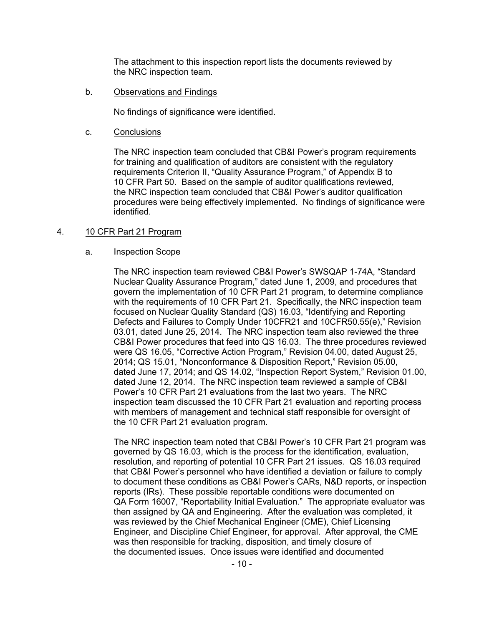The attachment to this inspection report lists the documents reviewed by the NRC inspection team.

b. Observations and Findings

No findings of significance were identified.

c. Conclusions

The NRC inspection team concluded that CB&I Power's program requirements for training and qualification of auditors are consistent with the regulatory requirements Criterion II, "Quality Assurance Program," of Appendix B to 10 CFR Part 50. Based on the sample of auditor qualifications reviewed, the NRC inspection team concluded that CB&I Power's auditor qualification procedures were being effectively implemented. No findings of significance were identified.

## 4. 10 CFR Part 21 Program

### a. Inspection Scope

The NRC inspection team reviewed CB&I Power's SWSQAP 1-74A, "Standard Nuclear Quality Assurance Program," dated June 1, 2009, and procedures that govern the implementation of 10 CFR Part 21 program, to determine compliance with the requirements of 10 CFR Part 21. Specifically, the NRC inspection team focused on Nuclear Quality Standard (QS) 16.03, "Identifying and Reporting Defects and Failures to Comply Under 10CFR21 and 10CFR50.55(e)," Revision 03.01, dated June 25, 2014. The NRC inspection team also reviewed the three CB&I Power procedures that feed into QS 16.03. The three procedures reviewed were QS 16.05, "Corrective Action Program," Revision 04.00, dated August 25, 2014; QS 15.01, "Nonconformance & Disposition Report," Revision 05.00, dated June 17, 2014; and QS 14.02, "Inspection Report System," Revision 01.00, dated June 12, 2014. The NRC inspection team reviewed a sample of CB&I Power's 10 CFR Part 21 evaluations from the last two years. The NRC inspection team discussed the 10 CFR Part 21 evaluation and reporting process with members of management and technical staff responsible for oversight of the 10 CFR Part 21 evaluation program.

The NRC inspection team noted that CB&I Power's 10 CFR Part 21 program was governed by QS 16.03, which is the process for the identification, evaluation, resolution, and reporting of potential 10 CFR Part 21 issues. QS 16.03 required that CB&I Power's personnel who have identified a deviation or failure to comply to document these conditions as CB&I Power's CARs, N&D reports, or inspection reports (IRs). These possible reportable conditions were documented on QA Form 16007, "Reportability Initial Evaluation." The appropriate evaluator was then assigned by QA and Engineering. After the evaluation was completed, it was reviewed by the Chief Mechanical Engineer (CME), Chief Licensing Engineer, and Discipline Chief Engineer, for approval. After approval, the CME was then responsible for tracking, disposition, and timely closure of the documented issues. Once issues were identified and documented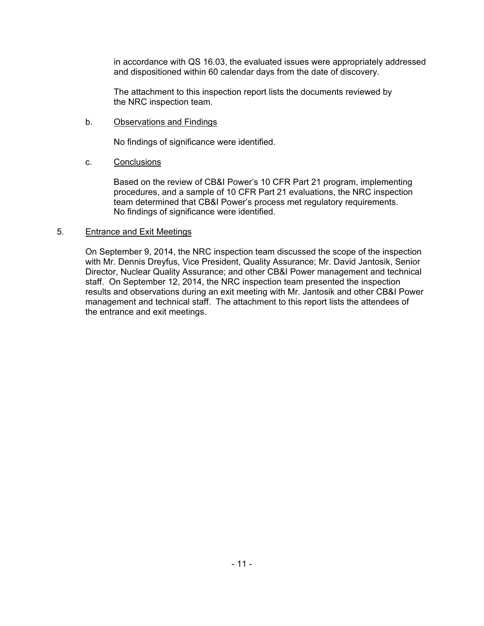in accordance with QS 16.03, the evaluated issues were appropriately addressed and dispositioned within 60 calendar days from the date of discovery.

The attachment to this inspection report lists the documents reviewed by the NRC inspection team.

### b. Observations and Findings

No findings of significance were identified.

### c. Conclusions

Based on the review of CB&I Power's 10 CFR Part 21 program, implementing procedures, and a sample of 10 CFR Part 21 evaluations, the NRC inspection team determined that CB&I Power's process met regulatory requirements. No findings of significance were identified.

### 5. Entrance and Exit Meetings

On September 9, 2014, the NRC inspection team discussed the scope of the inspection with Mr. Dennis Dreyfus, Vice President, Quality Assurance; Mr. David Jantosik, Senior Director, Nuclear Quality Assurance; and other CB&I Power management and technical staff. On September 12, 2014, the NRC inspection team presented the inspection results and observations during an exit meeting with Mr. Jantosik and other CB&I Power management and technical staff. The attachment to this report lists the attendees of the entrance and exit meetings.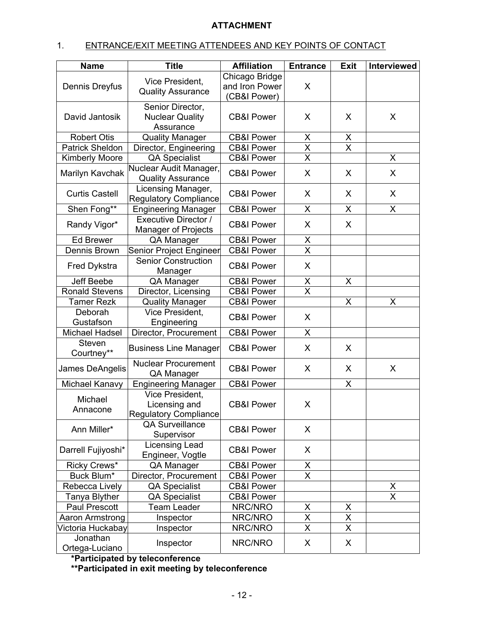# **ATTACHMENT**

# 1. ENTRANCE/EXIT MEETING ATTENDEES AND KEY POINTS OF CONTACT

| <b>Name</b>                  | <b>Title</b>                             | <b>Affiliation</b>    | <b>Entrance</b>         | <b>Exit</b>             | Interviewed             |
|------------------------------|------------------------------------------|-----------------------|-------------------------|-------------------------|-------------------------|
|                              | Vice President.                          | Chicago Bridge        |                         |                         |                         |
| Dennis Dreyfus               | <b>Quality Assurance</b>                 | and Iron Power        | X                       |                         |                         |
|                              |                                          | (CB&I Power)          |                         |                         |                         |
|                              | Senior Director,                         |                       |                         |                         |                         |
| David Jantosik               | <b>Nuclear Quality</b>                   | <b>CB&amp;I Power</b> | X                       | X                       | X                       |
|                              | Assurance                                |                       |                         |                         |                         |
| <b>Robert Otis</b>           | <b>Quality Manager</b>                   | <b>CB&amp;I Power</b> | X                       | $\frac{x}{x}$           |                         |
| <b>Patrick Sheldon</b>       | Director, Engineering                    | <b>CB&amp;I Power</b> | $\overline{\mathsf{x}}$ |                         |                         |
| <b>Kimberly Moore</b>        | <b>QA Specialist</b>                     | <b>CB&amp;I Power</b> | $\overline{\mathsf{x}}$ |                         | X                       |
| Marilyn Kavchak              | Nuclear Audit Manager,                   | <b>CB&amp;I Power</b> | X                       | X                       | X                       |
|                              | <b>Quality Assurance</b>                 |                       |                         |                         |                         |
| <b>Curtis Castell</b>        | Licensing Manager,                       | <b>CB&amp;I Power</b> | X                       | X                       | X                       |
|                              | <b>Regulatory Compliance</b>             |                       |                         |                         |                         |
| Shen Fong**                  | <b>Engineering Manager</b>               | <b>CB&amp;I Power</b> | X                       | X                       | X                       |
| Randy Vigor*                 | <b>Executive Director /</b>              | <b>CB&amp;I Power</b> | X                       | X                       |                         |
|                              | Manager of Projects                      |                       |                         |                         |                         |
| <b>Ed Brewer</b>             | QA Manager                               | <b>CB&amp;I Power</b> | X                       |                         |                         |
| Dennis Brown                 | Senior Project Engineer                  | <b>CB&amp;I Power</b> | $\overline{\mathsf{x}}$ |                         |                         |
| Fred Dykstra                 | <b>Senior Construction</b><br>Manager    | <b>CB&amp;I Power</b> | X                       |                         |                         |
| Jeff Beebe                   | QA Manager                               | <b>CB&amp;I Power</b> | X                       | X                       |                         |
| <b>Ronald Stevens</b>        | Director, Licensing                      | <b>CB&amp;I Power</b> | $\overline{\mathsf{x}}$ |                         |                         |
| <b>Tamer Rezk</b>            | <b>Quality Manager</b>                   | <b>CB&amp;I Power</b> |                         | X                       | X                       |
| Deborah                      | Vice President,                          |                       |                         |                         |                         |
| Gustafson                    | Engineering                              | <b>CB&amp;I Power</b> | X                       |                         |                         |
| Michael Hadsel               | Director, Procurement                    | <b>CB&amp;I Power</b> | X                       |                         |                         |
| Steven                       |                                          | <b>CB&amp;I Power</b> | X                       | X                       |                         |
| Courtney**                   | <b>Business Line Manager</b>             |                       |                         |                         |                         |
| James DeAngelis              | <b>Nuclear Procurement</b><br>QA Manager | <b>CB&amp;I Power</b> | X                       | X                       | X                       |
| Michael Kanavy               | <b>Engineering Manager</b>               | <b>CB&amp;I Power</b> |                         | $\mathsf{X}$            |                         |
|                              | Vice President,                          |                       |                         |                         |                         |
| Michael                      | Licensing and                            | <b>CB&amp;I Power</b> | X                       |                         |                         |
| Annacone                     | <b>Regulatory Compliance</b>             |                       |                         |                         |                         |
| Ann Miller*                  | <b>QA Surveillance</b>                   | <b>CB&amp;I Power</b> |                         |                         |                         |
|                              | Supervisor                               |                       | X                       |                         |                         |
| Darrell Fujiyoshi*           | Licensing Lead                           | <b>CB&amp;I Power</b> | X                       |                         |                         |
|                              | Engineer, Vogtle                         |                       |                         |                         |                         |
| Ricky Crews*                 | QA Manager                               | <b>CB&amp;I Power</b> | X                       |                         |                         |
| Buck Blum*                   | Director, Procurement                    | <b>CB&amp;I Power</b> | X                       |                         |                         |
| Rebecca Lively               | <b>QA Specialist</b>                     | <b>CB&amp;I Power</b> |                         |                         | X                       |
| Tanya Blyther                | <b>QA Specialist</b>                     | <b>CB&amp;I Power</b> |                         |                         | $\overline{\mathsf{x}}$ |
| <b>Paul Prescott</b>         | <b>Team Leader</b>                       | NRC/NRO               | X                       | X                       |                         |
| Aaron Armstrong<br>Inspector |                                          | NRC/NRO               | $\overline{\mathsf{x}}$ | $\overline{\mathsf{x}}$ |                         |
| Victoria Huckabay            | Inspector                                | NRC/NRO               | $\overline{X}$          | $\overline{\mathsf{X}}$ |                         |
| Jonathan                     | Inspector                                | NRC/NRO               | X                       | X                       |                         |
| Ortega-Luciano               |                                          |                       |                         |                         |                         |

**\*Participated by teleconference** 

**\*\*Participated in exit meeting by teleconference**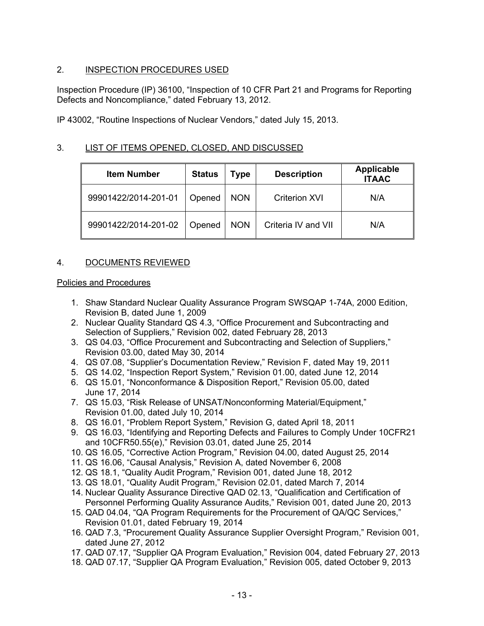# 2. INSPECTION PROCEDURES USED

Inspection Procedure (IP) 36100, "Inspection of 10 CFR Part 21 and Programs for Reporting Defects and Noncompliance," dated February 13, 2012.

IP 43002, "Routine Inspections of Nuclear Vendors," dated July 15, 2013.

# 3. LIST OF ITEMS OPENED, CLOSED, AND DISCUSSED

| <b>Item Number</b>   | <b>Status</b> | Гуре       | <b>Description</b>   | <b>Applicable</b><br><b>ITAAC</b> |
|----------------------|---------------|------------|----------------------|-----------------------------------|
| 99901422/2014-201-01 | Opened        | <b>NON</b> | <b>Criterion XVI</b> | N/A                               |
| 99901422/2014-201-02 | Opened        | <b>NON</b> | Criteria IV and VII  | N/A                               |

# 4. DOCUMENTS REVIEWED

### Policies and Procedures

- 1. Shaw Standard Nuclear Quality Assurance Program SWSQAP 1-74A, 2000 Edition, Revision B, dated June 1, 2009
- 2. Nuclear Quality Standard QS 4.3, "Office Procurement and Subcontracting and Selection of Suppliers," Revision 002, dated February 28, 2013
- 3. QS 04.03, "Office Procurement and Subcontracting and Selection of Suppliers," Revision 03.00, dated May 30, 2014
- 4. QS 07.08, "Supplier's Documentation Review," Revision F, dated May 19, 2011
- 5. QS 14.02, "Inspection Report System," Revision 01.00, dated June 12, 2014
- 6. QS 15.01, "Nonconformance & Disposition Report," Revision 05.00, dated June 17, 2014
- 7. QS 15.03, "Risk Release of UNSAT/Nonconforming Material/Equipment," Revision 01.00, dated July 10, 2014
- 8. QS 16.01, "Problem Report System," Revision G, dated April 18, 2011
- 9. QS 16.03, "Identifying and Reporting Defects and Failures to Comply Under 10CFR21 and 10CFR50.55(e)," Revision 03.01, dated June 25, 2014
- 10. QS 16.05, "Corrective Action Program," Revision 04.00, dated August 25, 2014
- 11. QS 16.06, "Causal Analysis," Revision A, dated November 6, 2008
- 12. QS 18.1, "Quality Audit Program," Revision 001, dated June 18, 2012
- 13. QS 18.01, "Quality Audit Program," Revision 02.01, dated March 7, 2014
- 14. Nuclear Quality Assurance Directive QAD 02.13, "Qualification and Certification of Personnel Performing Quality Assurance Audits," Revision 001, dated June 20, 2013
- 15. QAD 04.04, "QA Program Requirements for the Procurement of QA/QC Services," Revision 01.01, dated February 19, 2014
- 16. QAD 7.3, "Procurement Quality Assurance Supplier Oversight Program," Revision 001, dated June 27, 2012
- 17. QAD 07.17, "Supplier QA Program Evaluation," Revision 004, dated February 27, 2013
- 18. QAD 07.17, "Supplier QA Program Evaluation," Revision 005, dated October 9, 2013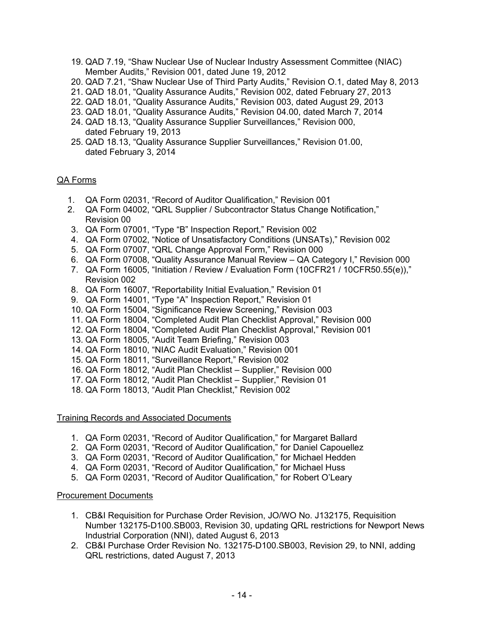- 19. QAD 7.19, "Shaw Nuclear Use of Nuclear Industry Assessment Committee (NIAC) Member Audits," Revision 001, dated June 19, 2012
- 20. QAD 7.21, "Shaw Nuclear Use of Third Party Audits," Revision O.1, dated May 8, 2013
- 21. QAD 18.01, "Quality Assurance Audits," Revision 002, dated February 27, 2013
- 22. QAD 18.01, "Quality Assurance Audits," Revision 003, dated August 29, 2013
- 23. QAD 18.01, "Quality Assurance Audits," Revision 04.00, dated March 7, 2014
- 24. QAD 18.13, "Quality Assurance Supplier Surveillances," Revision 000, dated February 19, 2013
- 25. QAD 18.13, "Quality Assurance Supplier Surveillances," Revision 01.00, dated February 3, 2014

# QA Forms

- 1. QA Form 02031, "Record of Auditor Qualification," Revision 001
- 2. QA Form 04002, "QRL Supplier / Subcontractor Status Change Notification," Revision 00
- 3. QA Form 07001, "Type "B" Inspection Report," Revision 002
- 4. QA Form 07002, "Notice of Unsatisfactory Conditions (UNSATs)," Revision 002
- 5. QA Form 07007, "QRL Change Approval Form," Revision 000
- 6. QA Form 07008, "Quality Assurance Manual Review QA Category I," Revision 000
- 7. QA Form 16005, "Initiation / Review / Evaluation Form (10CFR21 / 10CFR50.55(e))," Revision 002
- 8. QA Form 16007, "Reportability Initial Evaluation," Revision 01
- 9. QA Form 14001, "Type "A" Inspection Report," Revision 01
- 10. QA Form 15004, "Significance Review Screening," Revision 003
- 11. QA Form 18004, "Completed Audit Plan Checklist Approval," Revision 000
- 12. QA Form 18004, "Completed Audit Plan Checklist Approval," Revision 001
- 13. QA Form 18005, "Audit Team Briefing," Revision 003
- 14. QA Form 18010, "NIAC Audit Evaluation," Revision 001
- 15. QA Form 18011, "Surveillance Report," Revision 002
- 16. QA Form 18012, "Audit Plan Checklist Supplier," Revision 000
- 17. QA Form 18012, "Audit Plan Checklist Supplier," Revision 01
- 18. QA Form 18013, "Audit Plan Checklist," Revision 002

#### Training Records and Associated Documents

- 1. QA Form 02031, "Record of Auditor Qualification," for Margaret Ballard
- 2. QA Form 02031, "Record of Auditor Qualification," for Daniel Capouellez
- 3. QA Form 02031, "Record of Auditor Qualification," for Michael Hedden
- 4. QA Form 02031, "Record of Auditor Qualification," for Michael Huss
- 5. QA Form 02031, "Record of Auditor Qualification," for Robert O'Leary

#### Procurement Documents

- 1. CB&I Requisition for Purchase Order Revision, JO/WO No. J132175, Requisition Number 132175-D100.SB003, Revision 30, updating QRL restrictions for Newport News Industrial Corporation (NNI), dated August 6, 2013
- 2. CB&I Purchase Order Revision No. 132175-D100.SB003, Revision 29, to NNI, adding QRL restrictions, dated August 7, 2013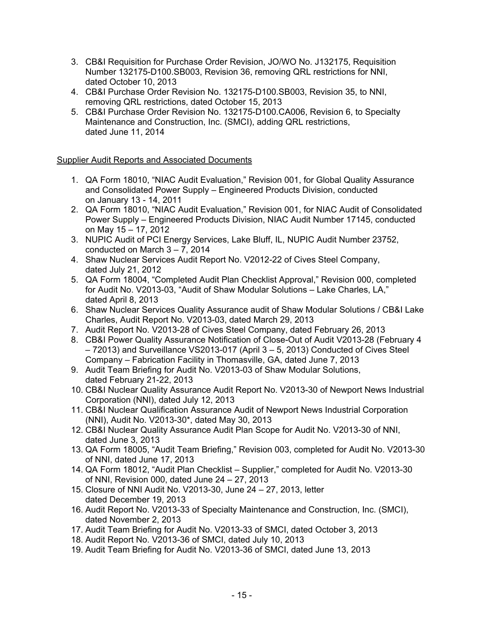- 3. CB&I Requisition for Purchase Order Revision, JO/WO No. J132175, Requisition Number 132175-D100.SB003, Revision 36, removing QRL restrictions for NNI, dated October 10, 2013
- 4. CB&I Purchase Order Revision No. 132175-D100.SB003, Revision 35, to NNI, removing QRL restrictions, dated October 15, 2013
- 5. CB&I Purchase Order Revision No. 132175-D100.CA006, Revision 6, to Specialty Maintenance and Construction, Inc. (SMCI), adding QRL restrictions, dated June 11, 2014

# Supplier Audit Reports and Associated Documents

- 1. QA Form 18010, "NIAC Audit Evaluation," Revision 001, for Global Quality Assurance and Consolidated Power Supply – Engineered Products Division, conducted on January 13 - 14, 2011
- 2. QA Form 18010, "NIAC Audit Evaluation," Revision 001, for NIAC Audit of Consolidated Power Supply – Engineered Products Division, NIAC Audit Number 17145, conducted on May 15 – 17, 2012
- 3. NUPIC Audit of PCI Energy Services, Lake Bluff, IL, NUPIC Audit Number 23752, conducted on March 3 – 7, 2014
- 4. Shaw Nuclear Services Audit Report No. V2012-22 of Cives Steel Company, dated July 21, 2012
- 5. QA Form 18004, "Completed Audit Plan Checklist Approval," Revision 000, completed for Audit No. V2013-03, "Audit of Shaw Modular Solutions – Lake Charles, LA," dated April 8, 2013
- 6. Shaw Nuclear Services Quality Assurance audit of Shaw Modular Solutions / CB&I Lake Charles, Audit Report No. V2013-03, dated March 29, 2013
- 7. Audit Report No. V2013-28 of Cives Steel Company, dated February 26, 2013
- 8. CB&I Power Quality Assurance Notification of Close-Out of Audit V2013-28 (February 4 – 72013) and Surveillance VS2013-017 (April 3 – 5, 2013) Conducted of Cives Steel Company – Fabrication Facility in Thomasville, GA, dated June 7, 2013
- 9. Audit Team Briefing for Audit No. V2013-03 of Shaw Modular Solutions, dated February 21-22, 2013
- 10. CB&I Nuclear Quality Assurance Audit Report No. V2013-30 of Newport News Industrial Corporation (NNI), dated July 12, 2013
- 11. CB&I Nuclear Qualification Assurance Audit of Newport News Industrial Corporation (NNI), Audit No. V2013-30\*, dated May 30, 2013
- 12. CB&I Nuclear Quality Assurance Audit Plan Scope for Audit No. V2013-30 of NNI, dated June 3, 2013
- 13. QA Form 18005, "Audit Team Briefing," Revision 003, completed for Audit No. V2013-30 of NNI, dated June 17, 2013
- 14. QA Form 18012, "Audit Plan Checklist Supplier," completed for Audit No. V2013-30 of NNI, Revision 000, dated June 24 – 27, 2013
- 15. Closure of NNI Audit No. V2013-30, June 24 27, 2013, letter dated December 19, 2013
- 16. Audit Report No. V2013-33 of Specialty Maintenance and Construction, Inc. (SMCI), dated November 2, 2013
- 17. Audit Team Briefing for Audit No. V2013-33 of SMCI, dated October 3, 2013
- 18. Audit Report No. V2013-36 of SMCI, dated July 10, 2013
- 19. Audit Team Briefing for Audit No. V2013-36 of SMCI, dated June 13, 2013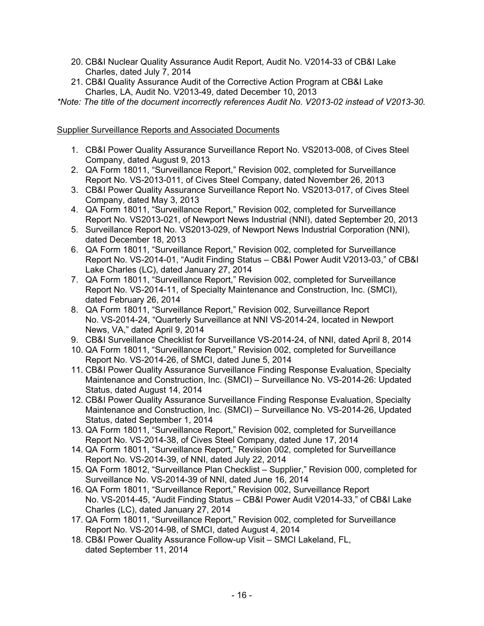- 20. CB&I Nuclear Quality Assurance Audit Report, Audit No. V2014-33 of CB&I Lake Charles, dated July 7, 2014
- 21. CB&I Quality Assurance Audit of the Corrective Action Program at CB&I Lake Charles, LA, Audit No. V2013-49, dated December 10, 2013

*\*Note: The title of the document incorrectly references Audit No. V2013-02 instead of V2013-30.* 

# Supplier Surveillance Reports and Associated Documents

- 1. CB&I Power Quality Assurance Surveillance Report No. VS2013-008, of Cives Steel Company, dated August 9, 2013
- 2. QA Form 18011, "Surveillance Report," Revision 002, completed for Surveillance Report No. VS-2013-011, of Cives Steel Company, dated November 26, 2013
- 3. CB&I Power Quality Assurance Surveillance Report No. VS2013-017, of Cives Steel Company, dated May 3, 2013
- 4. QA Form 18011, "Surveillance Report," Revision 002, completed for Surveillance Report No. VS2013-021, of Newport News Industrial (NNI), dated September 20, 2013
- 5. Surveillance Report No. VS2013-029, of Newport News Industrial Corporation (NNI), dated December 18, 2013
- 6. QA Form 18011, "Surveillance Report," Revision 002, completed for Surveillance Report No. VS-2014-01, "Audit Finding Status – CB&I Power Audit V2013-03," of CB&I Lake Charles (LC), dated January 27, 2014
- 7. QA Form 18011, "Surveillance Report," Revision 002, completed for Surveillance Report No. VS-2014-11, of Specialty Maintenance and Construction, Inc. (SMCI), dated February 26, 2014
- 8. QA Form 18011, "Surveillance Report," Revision 002, Surveillance Report No. VS-2014-24, "Quarterly Surveillance at NNI VS-2014-24, located in Newport News, VA," dated April 9, 2014
- 9. CB&I Surveillance Checklist for Surveillance VS-2014-24, of NNI, dated April 8, 2014
- 10. QA Form 18011, "Surveillance Report," Revision 002, completed for Surveillance Report No. VS-2014-26, of SMCI, dated June 5, 2014
- 11. CB&I Power Quality Assurance Surveillance Finding Response Evaluation, Specialty Maintenance and Construction, Inc. (SMCI) – Surveillance No. VS-2014-26: Updated Status, dated August 14, 2014
- 12. CB&I Power Quality Assurance Surveillance Finding Response Evaluation, Specialty Maintenance and Construction, Inc. (SMCI) – Surveillance No. VS-2014-26, Updated Status, dated September 1, 2014
- 13. QA Form 18011, "Surveillance Report," Revision 002, completed for Surveillance Report No. VS-2014-38, of Cives Steel Company, dated June 17, 2014
- 14. QA Form 18011, "Surveillance Report," Revision 002, completed for Surveillance Report No. VS-2014-39, of NNI, dated July 22, 2014
- 15. QA Form 18012, "Surveillance Plan Checklist Supplier," Revision 000, completed for Surveillance No. VS-2014-39 of NNI, dated June 16, 2014
- 16. QA Form 18011, "Surveillance Report," Revision 002, Surveillance Report No. VS-2014-45, "Audit Finding Status – CB&I Power Audit V2014-33," of CB&I Lake Charles (LC), dated January 27, 2014
- 17. QA Form 18011, "Surveillance Report," Revision 002, completed for Surveillance Report No. VS-2014-98, of SMCI, dated August 4, 2014
- 18. CB&I Power Quality Assurance Follow-up Visit SMCI Lakeland, FL, dated September 11, 2014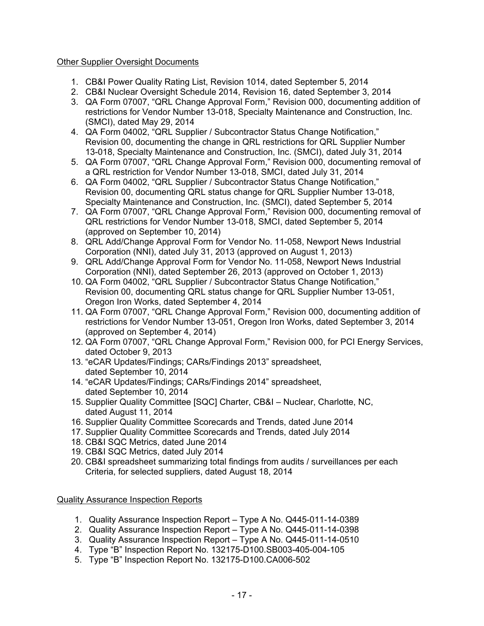# Other Supplier Oversight Documents

- 1. CB&I Power Quality Rating List, Revision 1014, dated September 5, 2014
- 2. CB&I Nuclear Oversight Schedule 2014, Revision 16, dated September 3, 2014
- 3. QA Form 07007, "QRL Change Approval Form," Revision 000, documenting addition of restrictions for Vendor Number 13-018, Specialty Maintenance and Construction, Inc. (SMCI), dated May 29, 2014
- 4. QA Form 04002, "QRL Supplier / Subcontractor Status Change Notification," Revision 00, documenting the change in QRL restrictions for QRL Supplier Number 13-018, Specialty Maintenance and Construction, Inc. (SMCI), dated July 31, 2014
- 5. QA Form 07007, "QRL Change Approval Form," Revision 000, documenting removal of a QRL restriction for Vendor Number 13-018, SMCI, dated July 31, 2014
- 6. QA Form 04002, "QRL Supplier / Subcontractor Status Change Notification," Revision 00, documenting QRL status change for QRL Supplier Number 13-018, Specialty Maintenance and Construction, Inc. (SMCI), dated September 5, 2014
- 7. QA Form 07007, "QRL Change Approval Form," Revision 000, documenting removal of QRL restrictions for Vendor Number 13-018, SMCI, dated September 5, 2014 (approved on September 10, 2014)
- 8. QRL Add/Change Approval Form for Vendor No. 11-058, Newport News Industrial Corporation (NNI), dated July 31, 2013 (approved on August 1, 2013)
- 9. QRL Add/Change Approval Form for Vendor No. 11-058, Newport News Industrial Corporation (NNI), dated September 26, 2013 (approved on October 1, 2013)
- 10. QA Form 04002, "QRL Supplier / Subcontractor Status Change Notification," Revision 00, documenting QRL status change for QRL Supplier Number 13-051, Oregon Iron Works, dated September 4, 2014
- 11. QA Form 07007, "QRL Change Approval Form," Revision 000, documenting addition of restrictions for Vendor Number 13-051, Oregon Iron Works, dated September 3, 2014 (approved on September 4, 2014)
- 12. QA Form 07007, "QRL Change Approval Form," Revision 000, for PCI Energy Services, dated October 9, 2013
- 13. "eCAR Updates/Findings; CARs/Findings 2013" spreadsheet, dated September 10, 2014
- 14. "eCAR Updates/Findings; CARs/Findings 2014" spreadsheet, dated September 10, 2014
- 15. Supplier Quality Committee [SQC] Charter, CB&I Nuclear, Charlotte, NC, dated August 11, 2014
- 16. Supplier Quality Committee Scorecards and Trends, dated June 2014
- 17. Supplier Quality Committee Scorecards and Trends, dated July 2014
- 18. CB&I SQC Metrics, dated June 2014
- 19. CB&I SQC Metrics, dated July 2014
- 20. CB&I spreadsheet summarizing total findings from audits / surveillances per each Criteria, for selected suppliers, dated August 18, 2014

Quality Assurance Inspection Reports

- 1. Quality Assurance Inspection Report Type A No. Q445-011-14-0389
- 2. Quality Assurance Inspection Report Type A No. Q445-011-14-0398
- 3. Quality Assurance Inspection Report Type A No. Q445-011-14-0510
- 4. Type "B" Inspection Report No. 132175-D100.SB003-405-004-105
- 5. Type "B" Inspection Report No. 132175-D100.CA006-502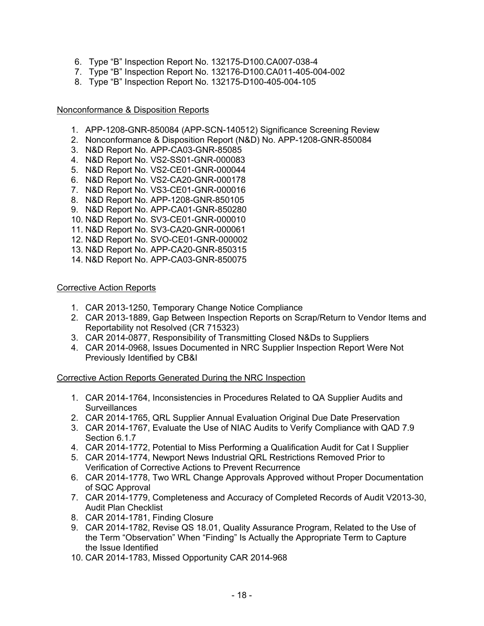- 6. Type "B" Inspection Report No. 132175-D100.CA007-038-4
- 7. Type "B" Inspection Report No. 132176-D100.CA011-405-004-002
- 8. Type "B" Inspection Report No. 132175-D100-405-004-105

#### Nonconformance & Disposition Reports

- 1. APP-1208-GNR-850084 (APP-SCN-140512) Significance Screening Review
- 2. Nonconformance & Disposition Report (N&D) No. APP-1208-GNR-850084
- 3. N&D Report No. APP-CA03-GNR-85085
- 4. N&D Report No. VS2-SS01-GNR-000083
- 5. N&D Report No. VS2-CE01-GNR-000044
- 6. N&D Report No. VS2-CA20-GNR-000178
- 7. N&D Report No. VS3-CE01-GNR-000016
- 8. N&D Report No. APP-1208-GNR-850105
- 9. N&D Report No. APP-CA01-GNR-850280
- 10. N&D Report No. SV3-CE01-GNR-000010
- 11. N&D Report No. SV3-CA20-GNR-000061
- 12. N&D Report No. SVO-CE01-GNR-000002
- 13. N&D Report No. APP-CA20-GNR-850315
- 14. N&D Report No. APP-CA03-GNR-850075

### Corrective Action Reports

- 1. CAR 2013-1250, Temporary Change Notice Compliance
- 2. CAR 2013-1889, Gap Between Inspection Reports on Scrap/Return to Vendor Items and Reportability not Resolved (CR 715323)
- 3. CAR 2014-0877, Responsibility of Transmitting Closed N&Ds to Suppliers
- 4. CAR 2014-0968, Issues Documented in NRC Supplier Inspection Report Were Not Previously Identified by CB&I

Corrective Action Reports Generated During the NRC Inspection

- 1. CAR 2014-1764, Inconsistencies in Procedures Related to QA Supplier Audits and **Surveillances**
- 2. CAR 2014-1765, QRL Supplier Annual Evaluation Original Due Date Preservation
- 3. CAR 2014-1767, Evaluate the Use of NIAC Audits to Verify Compliance with QAD 7.9 Section 6.1.7
- 4. CAR 2014-1772, Potential to Miss Performing a Qualification Audit for Cat I Supplier
- 5. CAR 2014-1774, Newport News Industrial QRL Restrictions Removed Prior to Verification of Corrective Actions to Prevent Recurrence
- 6. CAR 2014-1778, Two WRL Change Approvals Approved without Proper Documentation of SQC Approval
- 7. CAR 2014-1779, Completeness and Accuracy of Completed Records of Audit V2013-30, Audit Plan Checklist
- 8. CAR 2014-1781, Finding Closure
- 9. CAR 2014-1782, Revise QS 18.01, Quality Assurance Program, Related to the Use of the Term "Observation" When "Finding" Is Actually the Appropriate Term to Capture the Issue Identified
- 10. CAR 2014-1783, Missed Opportunity CAR 2014-968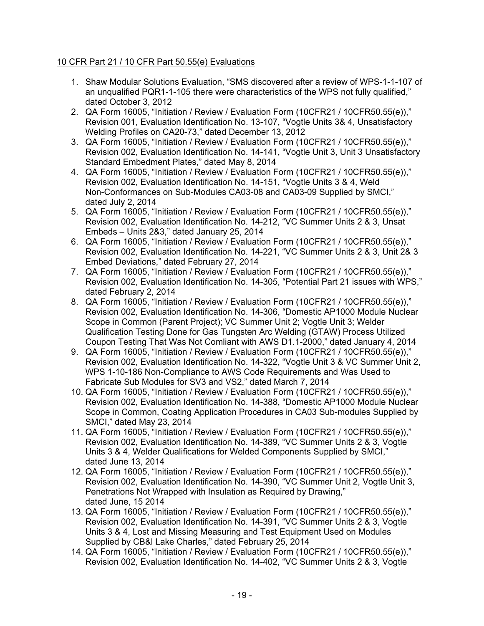# 10 CFR Part 21 / 10 CFR Part 50.55(e) Evaluations

- 1. Shaw Modular Solutions Evaluation, "SMS discovered after a review of WPS-1-1-107 of an unqualified PQR1-1-105 there were characteristics of the WPS not fully qualified," dated October 3, 2012
- 2. QA Form 16005, "Initiation / Review / Evaluation Form (10CFR21 / 10CFR50.55(e))," Revision 001, Evaluation Identification No. 13-107, "Vogtle Units 3& 4, Unsatisfactory Welding Profiles on CA20-73," dated December 13, 2012
- 3. QA Form 16005, "Initiation / Review / Evaluation Form (10CFR21 / 10CFR50.55(e))," Revision 002, Evaluation Identification No. 14-141, "Vogtle Unit 3, Unit 3 Unsatisfactory Standard Embedment Plates," dated May 8, 2014
- 4. QA Form 16005, "Initiation / Review / Evaluation Form (10CFR21 / 10CFR50.55(e))," Revision 002, Evaluation Identification No. 14-151, "Vogtle Units 3 & 4, Weld Non-Conformances on Sub-Modules CA03-08 and CA03-09 Supplied by SMCI," dated July 2, 2014
- 5. QA Form 16005, "Initiation / Review / Evaluation Form (10CFR21 / 10CFR50.55(e))," Revision 002, Evaluation Identification No. 14-212, "VC Summer Units 2 & 3, Unsat Embeds – Units 2&3," dated January 25, 2014
- 6. QA Form 16005, "Initiation / Review / Evaluation Form (10CFR21 / 10CFR50.55(e))," Revision 002, Evaluation Identification No. 14-221, "VC Summer Units 2 & 3, Unit 2& 3 Embed Deviations," dated February 27, 2014
- 7. QA Form 16005, "Initiation / Review / Evaluation Form (10CFR21 / 10CFR50.55(e))," Revision 002, Evaluation Identification No. 14-305, "Potential Part 21 issues with WPS," dated February 2, 2014
- 8. QA Form 16005, "Initiation / Review / Evaluation Form (10CFR21 / 10CFR50.55(e))," Revision 002, Evaluation Identification No. 14-306, "Domestic AP1000 Module Nuclear Scope in Common (Parent Project); VC Summer Unit 2; Vogtle Unit 3; Welder Qualification Testing Done for Gas Tungsten Arc Welding (GTAW) Process Utilized Coupon Testing That Was Not Comliant with AWS D1.1-2000," dated January 4, 2014
- 9. QA Form 16005, "Initiation / Review / Evaluation Form (10CFR21 / 10CFR50.55(e))," Revision 002, Evaluation Identification No. 14-322, "Vogtle Unit 3 & VC Summer Unit 2, WPS 1-10-186 Non-Compliance to AWS Code Requirements and Was Used to Fabricate Sub Modules for SV3 and VS2," dated March 7, 2014
- 10. QA Form 16005, "Initiation / Review / Evaluation Form (10CFR21 / 10CFR50.55(e))," Revision 002, Evaluation Identification No. 14-388, "Domestic AP1000 Module Nuclear Scope in Common, Coating Application Procedures in CA03 Sub-modules Supplied by SMCI," dated May 23, 2014
- 11. QA Form 16005, "Initiation / Review / Evaluation Form (10CFR21 / 10CFR50.55(e))," Revision 002, Evaluation Identification No. 14-389, "VC Summer Units 2 & 3, Vogtle Units 3 & 4, Welder Qualifications for Welded Components Supplied by SMCI," dated June 13, 2014
- 12. QA Form 16005, "Initiation / Review / Evaluation Form (10CFR21 / 10CFR50.55(e))," Revision 002, Evaluation Identification No. 14-390, "VC Summer Unit 2, Vogtle Unit 3, Penetrations Not Wrapped with Insulation as Required by Drawing," dated June, 15 2014
- 13. QA Form 16005, "Initiation / Review / Evaluation Form (10CFR21 / 10CFR50.55(e))," Revision 002, Evaluation Identification No. 14-391, "VC Summer Units 2 & 3, Vogtle Units 3 & 4, Lost and Missing Measuring and Test Equipment Used on Modules Supplied by CB&l Lake Charles," dated February 25, 2014
- 14. QA Form 16005, "Initiation / Review / Evaluation Form (10CFR21 / 10CFR50.55(e))," Revision 002, Evaluation Identification No. 14-402, "VC Summer Units 2 & 3, Vogtle